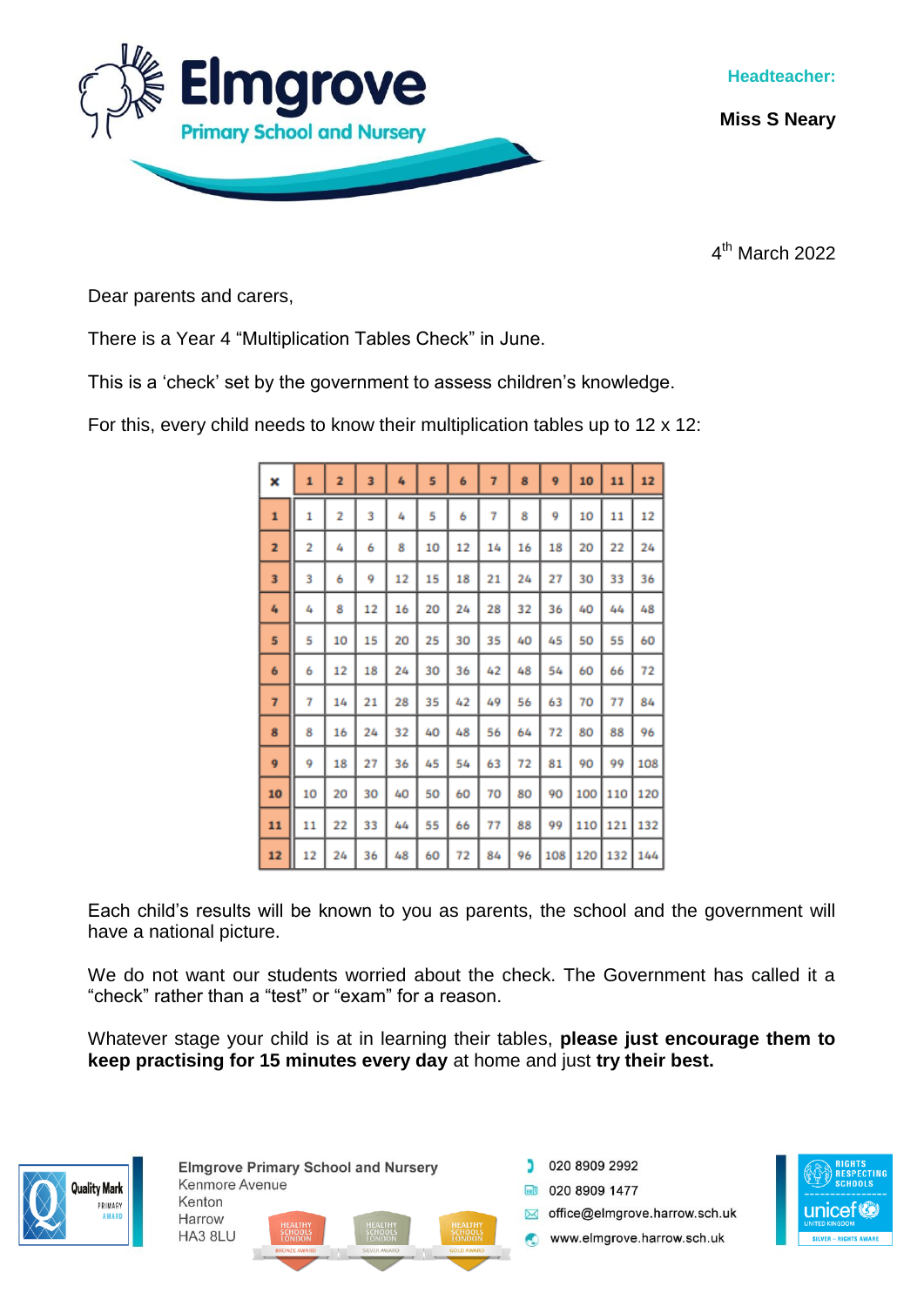

**Miss S Neary**

4 th March 2022

Dear parents and carers,

There is a Year 4 "Multiplication Tables Check" in June.

This is a 'check' set by the government to assess children's knowledge.

For this, every child needs to know their multiplication tables up to 12 x 12:

| ×              | $\mathbf{1}$ | $\overline{z}$ | 3  | 4  | 5  | 6  | 7  | 8  | 9   | 10  | 11  | 12  |
|----------------|--------------|----------------|----|----|----|----|----|----|-----|-----|-----|-----|
| 1              | 1            | 2              | 3  | 4  | 5  | 6  | 7  | 8  | 9   | 10  | 11  | 12  |
| 2              | 2            | 4              | 6  | 8  | 10 | 12 | 14 | 16 | 18  | 20  | 22  | 24  |
| 3              | 3            | 6              | 9  | 12 | 15 | 18 | 21 | 24 | 27  | 30  | 33  | 36  |
| 4              | 4            | 8              | 12 | 16 | 20 | 24 | 28 | 32 | 36  | 40  | 44  | 48  |
| 5              | 5            | 10             | 15 | 20 | 25 | 30 | 35 | 40 | 45  | 50  | 55  | 60  |
| 6              | 6            | 12             | 18 | 24 | 30 | 36 | 42 | 48 | 54  | 60  | 66  | 72  |
| $\overline{7}$ | 7            | 14             | 21 | 28 | 35 | 42 | 49 | 56 | 63  | 70  | 77  | 84  |
| 8              | 8            | 16             | 24 | 32 | 40 | 48 | 56 | 64 | 72  | 80  | 88  | 96  |
| 9              | 9            | 18             | 27 | 36 | 45 | 54 | 63 | 72 | 81  | 90  | 99  | 108 |
| 10             | 10           | 20             | 30 | 40 | 50 | 60 | 70 | 80 | 90  | 100 | 110 | 120 |
| 11             | 11           | 22             | 33 | 44 | 55 | 66 | 77 | 88 | 99  | 110 | 121 | 132 |
| 12             | 12           | 24             | 36 | 48 | 60 | 72 | 84 | 96 | 108 | 120 | 132 | 144 |

Each child's results will be known to you as parents, the school and the government will have a national picture.

We do not want our students worried about the check. The Government has called it a "check" rather than a "test" or "exam" for a reason.

Whatever stage your child is at in learning their tables, **please just encourage them to keep practising for 15 minutes every day** at home and just **try their best.** 



**Elmgrove Primary School and Nursery** Kenmore Avenue Kenton Harrow HA3 8LU